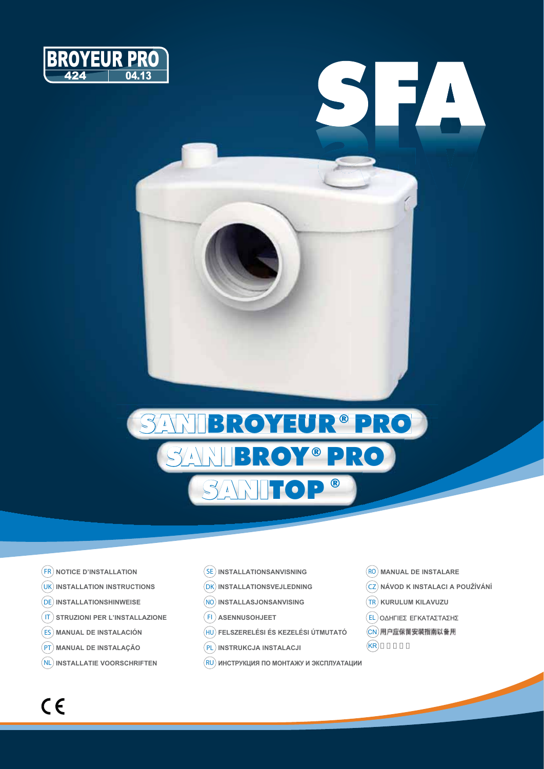

- **FR NOTICE D'INSTALLATION**
- **UK INSTALLATION INSTRUCTIONS**
- (DE) INSTALLATIONSHINWEISE
- $(T)$  STRUZIONI PER L'INSTALLAZIONE
- **ES MANUAL DE INSTALACIÓN**
- $\widehat{\text{(PT)}}$  MANUAL DE INSTALAÇÃO
- (NL) INSTALLATIE VOORSCHRIFTEN
- (SE) INSTALLATIONSANVISNING
- (DK) INSTALLATIONSVEJLEDNING
- (NO) INSTALLASJONSANVISING
- $(FI)$  ASENNUSOHJEET
- (HU) FELSZERELÉSI ÉS KEZELÉSI ÚTMUTATÓ
- $\left(\mathsf{PL}\right)$  INSTRUKCJA INSTALACJI
- (RU) ИНСТРУКЦИЯ ПО МОНТАЖУ И ЭКСПЛУАТАЦИИ
- (RO) MANUAL DE INSTALARE
- (CZ) NÁVOD K INSTALACI A POUŽÍVÁNÍ
- **TR KURULUM KILAVUZU**

 $(KR)$ 

- **(EL) ΟΔΗΓΙΕΣ ΕΓΚΑΤΑΣΤΑΣΗΣ**
- (CN) 用户应保留安装指南以备用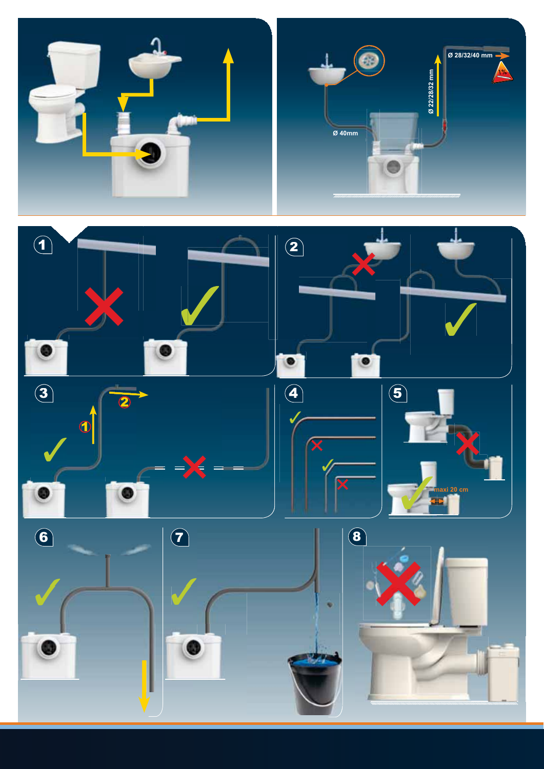



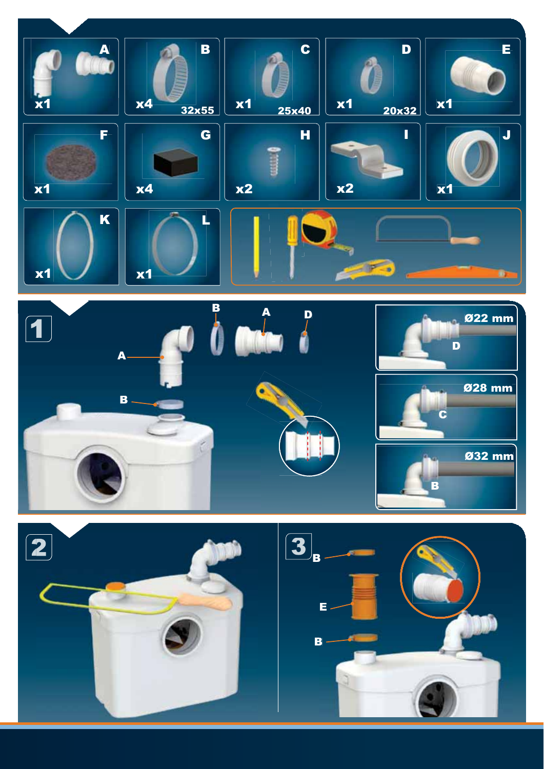



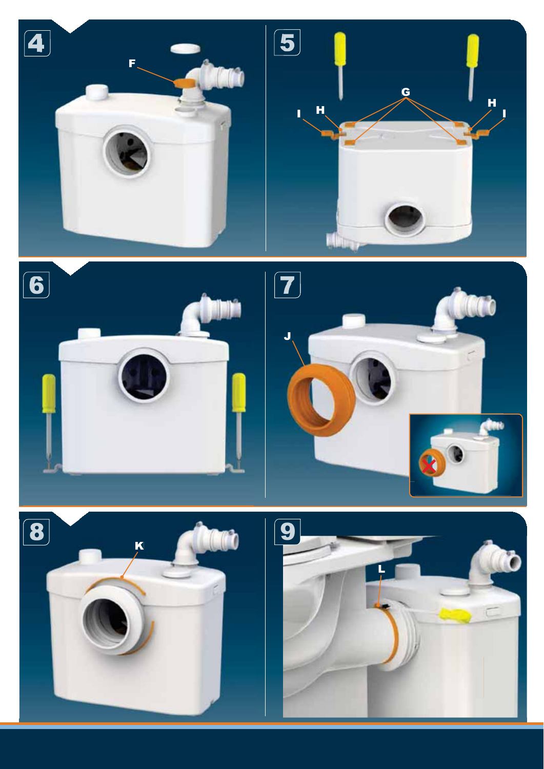







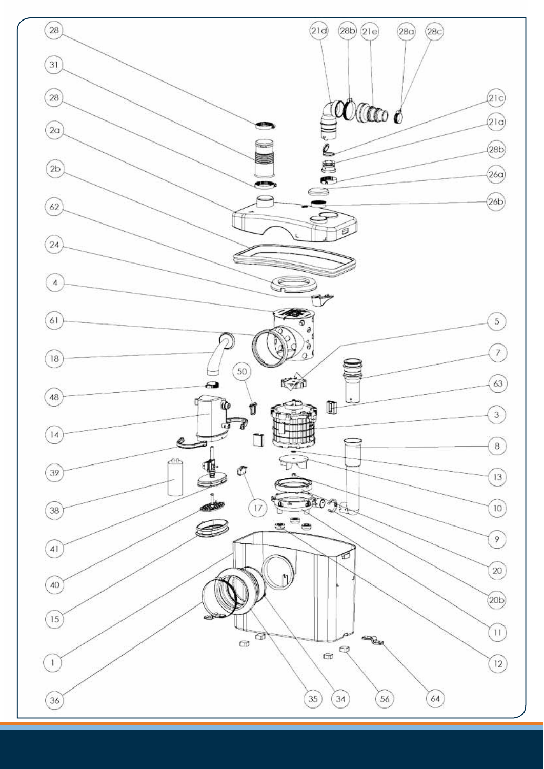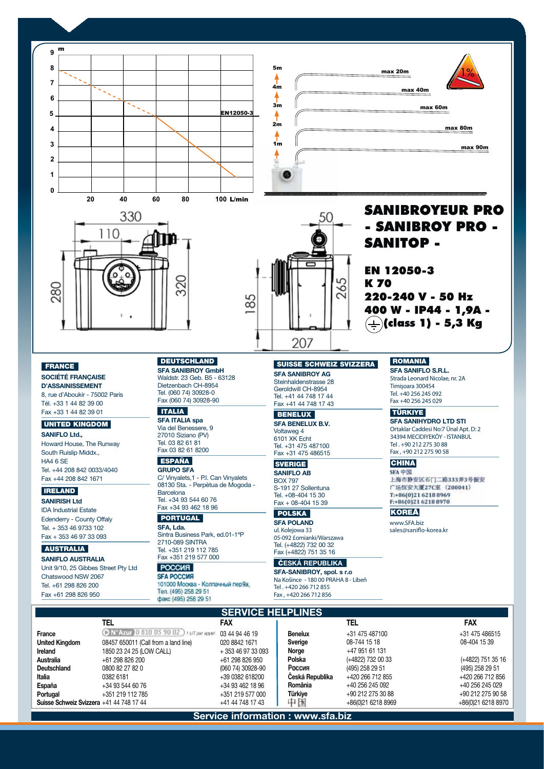

# Tél. +33 1 44 82 39 00 Fax +33 1 44 82 39 01

# **UNITED KINGDOM**

**SANIFLO Ltd.,** Howard House, The Runway South Ruislip Middx., HA4 6 SE Tel. +44 208 842 0033/4040 Fax +44 208 842 1671

# **IRELAND**

**SANIRISH Ltd** IDA Industrial Estate Edenderry - County Offaly Tel. + 353 46 9733 102 Fax + 353 46 97 33 093

# **AUSTRALIA**

**SANIFLO AUSTRALIA**  Unit 9/10, 25 Gibbes Street Pty Ltd Chatswood NSW 2067 Tel. +61 298 826 200 Fax +61 298 826 950

Fax (060 74) 30928-90

# **ITALIA**

**SFA ITALIA spa**  Via del Benessere, 9 27010 Siziano (PV) Tel. 03 82 61 81 Fax 03 82 61 8200

### **ESPAÑA**

**GRUPO SFA** C/ Vinyalets,1 - P.I. Can Vinyalets 08130 Sta. - Perpètua de Mogoda - **Barcelona** Tel. +34 93 544 60 76 Fax +34 93 462 18 96

# **PORTUGAL**

**SFA, Lda.**  Sintra Business Park, ed.01-1ºP 2710-089 SINTRA Tel. +351 219 112 785 Fax +351 219 577 000

# POCCMR

**SFA POCCHR** 101000 Москва - Колпачный пер<sup>9</sup>а, Тел. (495) 258 29 51 факс (495) 258 29 51

Fax +41 44 748 17 43

### **BENELUX SFA BENELUX B.V.** Voltaweg 4 6101 XK Echt Tel. +31 475 487100 Fax +31 475 486515

**SVERIGE SANIFLO AB** BOX 797 S-191 27 Sollentuna Tel. +08-404 15 30 Fax + 08-404 15 39

# **POLSKA SFA POLAND**

ul. Kolejowa 33 05-092 £omianki/Warszawa Tel. (+4822) 732 00 32 Fax (+4822) 751 35 16

# ČESKÁ REPUBLIKA

**SFA-SANIBROY, spol. s r.o**  Na Košince - 180 00 PRAHA 8 - Libeň Tel . +420 266 712 855 Fax , +420 266 712 856

Fax +40 256 245 029

### **TÜRKIYE SFA SANIHYDRO LTD STI** Ortaklar Caddesi No:7 Ünal Apt. D: 2 34394 MECIDIYEKÖY - ISTANBUL Tel . +90 212 275 30 88

Fax , +90 212 275 90 58

### **CHINA** SFA 中国

上海市静安区石门二路333弄3号振安 广场恒安大厦27C室 (200041) T:+86(0)21 6218 8969 F:+86(0)21 6218 8970

# **KOREA** www.SFA.biz

sales@saniflo-korea.kr

# **SERVICE HELPLINES**

|                                          | TEL                                       | FAX               |
|------------------------------------------|-------------------------------------------|-------------------|
| France                                   | N' Azur 10 810 05 90 02 ) + LiT par appar | 03 44 94 46 19    |
| <b>United Kingdom</b>                    | 08457 650011 (Call from a land line)      | 020 8842 1671     |
| Ireland                                  | 1850 23 24 25 (LOW CALL)                  | +353 46 97 33 093 |
| Australia                                | +61 298 826 200                           | +61 298 826 950   |
| <b>Deutschland</b>                       | 0800 82 27 82 0                           | (060 74) 30928-90 |
| Italia                                   | 0382 6181                                 | +39 0382 618200   |
| España                                   | +34 93 544 60 76                          | +34 93 462 18 96  |
| Portugal                                 | +351 219 112 785                          | +351 219 577 000  |
| Suisse Schweiz Svizzera +41 44 748 17 44 |                                           | +41 44 748 17 43  |

|                   | IEL               |
|-------------------|-------------------|
| Benelux           | +31 475 487100    |
| Sverige           | 08-744 15 18      |
| Norge             | +47 951 61 131    |
| Polska            | (+4822) 732 00 33 |
| Россия            | (495) 258 29 51   |
| Česká Republika   | +420 266 712 855  |
| România           | +40 256 245 092   |
| Türkiye           | +90 212 275 30 88 |
| and the former of |                   |

 **TEL FAX Benelux** +31 475 487100 +31 475 486515 **Sverige** 08-744 15 18 08-404 15 39

+86(0)21 6218 8969

 **Polska** (+4822) 732 00 33 (+4822) 751 35 16 (495) 258 29 51 (495) 258 29 51 **România** +40 256 245 092 +40 256 245 029 **Türkiye** +90 212 275 30 88 +90 212 275 90 58<br>  $\uparrow$  **H H**  $\uparrow$  +86(0)21 6218 8969 +86(0)21 6218 8970

**Service information : www.sfa.biz**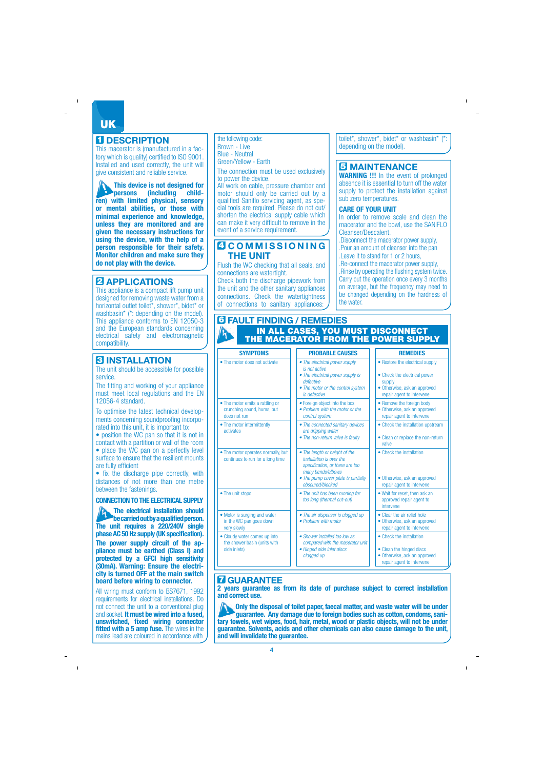# **UK**

# **1 DESCRIPTION**

This macerator is (manufactured in a factory which is quality) certified to ISO 9001. Installed and used correctly, the unit will give consistent and reliable service.

**This device is not designed for**<br>**Pressons** (including child**persons** (including **ren) with limited physical, sensory or mental abilities, or those with minimal experience and knowledge, unless they are monitored and are given the necessary instructions for using the device, with the help of a person responsible for their safety. Monitor children and make sure they do not play with the device.**

# **2 APPLICATIONS**

This appliance is a compact lift pump unit designed for removing waste water from a horizontal outlet toilet\*, shower\*, bidet\* or washbasin\* (\*: depending on the model). This appliance conforms to FN 12050-3 and the European standards concerning electrical safety and electromagnetic compatibility.

# **3 INSTALLATION**

The unit should be accessible for possible service.

The fitting and working of your appliance must meet local regulations and the EN 12056-4 standard.

To optimise the latest technical developments concerning soundproofing incorporated into this unit, it is important to:

• position the WC pan so that it is not in contact with a partition or wall of the room

• place the WC pan on a perfectly level surface to ensure that the resilient mounts are fully efficient

• fix the discharge pipe correctly, with distances of not more than one metre between the fastenings.

### **CONNECTION TO THE ELECTRICAL SUPPLY**

**The electrical installation should be carried out by a qualified person. The unit requires a 220/240V single phase AC 50 Hz supply (UK specification). The power supply circuit of the appliance must be earthed (Class I) and protected by a GFCI high sensitivity (30mA). Warning: Ensure the electricity is turned OFF at the main switch board before wiring to connector.**

All wiring must conform to BS7671, 1992 requirements for electrical installations. Do not connect the unit to a conventional plug and socket. **It must be wired into a fused, unswitched, fixed wiring connector fitted with a 5 amp fuse.** The wires in the mains lead are coloured in accordance with

the following code: Brown - Live Blue - Neutral Green/Yellow - Earth

The connection must be used exclusively to power the device.

All work on cable, pressure chamber and motor should only be carried out by a qualified Saniflo servicing agent, as special tools are required. Please do not cut/ shorten the electrical supply cable which can make it very difficult to remove in the event of a service requirement.

# **4 C O M M I S S I O N I N G THE UNIT**

Flush the WC checking that all seals, and connections are waterfight.

Check both the discharge pipework from the unit and the other sanitary appliances connections. Check the watertightness of connections to sanitary appliances:

toilet\*, shower\*, bidet\* or washbasin\* (\*: depending on the model).

# **5 MAINTENANCE**

**WARNING !!!** In the event of prolonged absence it is essential to turn off the water supply to protect the installation against sub zero temperatures.

### **CARE OF YOUR UNIT**

In order to remove scale and clean the macerator and the bowl, use the SANIFLO Cleanser/Descalent

. Disconnect the macerator power supply. .Pour an amount of cleanser into the pan Leave it to stand for 1 or 2 hours

.Re-connect the macerator power supply, .Rinse by operating the flushing system twice. Carry out the operation once every 3 months on average, but the frequency may need to be changed depending on the hardness of the water.

| <b>6 FAULT FINDING / REMEDIES</b>                                             |                                                                                                                                                                              |                                                                                                                                        |  |  |
|-------------------------------------------------------------------------------|------------------------------------------------------------------------------------------------------------------------------------------------------------------------------|----------------------------------------------------------------------------------------------------------------------------------------|--|--|
|                                                                               | <b>IN ALL CASES, YOU MUST DISCONNECT</b><br>THE MACERATOR FROM THE POWER SUPPLY                                                                                              |                                                                                                                                        |  |  |
|                                                                               |                                                                                                                                                                              |                                                                                                                                        |  |  |
| <b>SYMPTOMS</b>                                                               | <b>PROBABLE CAUSES</b>                                                                                                                                                       | <b>REMEDIES</b>                                                                                                                        |  |  |
| • The motor does not activate                                                 | • The electrical power supply<br>is not active<br>• The electrical power supply is<br>defective<br>• The motor or the control system<br>is defective                         | • Restore the electrical supply<br>• Check the electrical power<br>supply<br>• Otherwise, ask an approved<br>repair agent to intervene |  |  |
| • The motor emits a rattling or<br>crunching sound, hums, but<br>does not run | • Foreign object into the box<br>• Problem with the motor or the<br>control system                                                                                           | • Remove the foreign body<br>• Otherwise, ask an approved<br>repair agent to intervene                                                 |  |  |
| • The motor intermittently<br>activates                                       | • The connected sanitary devices<br>are dripping water<br>• The non-return valve is faulty                                                                                   | • Check the installation upstream<br>• Clean or replace the non-return<br>valve                                                        |  |  |
| • The motor operates normally, but<br>continues to run for a long time        | • The length or height of the<br>installation is over the<br>specification, or there are too<br>many bends/elbows<br>• The pump cover plate is partially<br>obscured/blocked | • Check the installation<br>• Otherwise, ask an approved<br>repair agent to intervene                                                  |  |  |
| • The unit stops                                                              | • The unit has been running for<br>too long (thermal cut-out)                                                                                                                | . Wait for reset, then ask an<br>approved repair agent to<br>intervene                                                                 |  |  |
| • Motor is surging and water<br>in the WC pan goes down<br>very slowly        | • The air dispenser is clogged up<br>• Problem with motor                                                                                                                    | • Clear the air relief hole<br>• Otherwise, ask an approved<br>repair agent to intervene                                               |  |  |
| • Cloudy water comes up into<br>the shower basin (units with<br>side inlets)  | • Shower installed too low as<br>compared with the macerator unit<br>• Hinged side inlet discs<br>clogged up                                                                 | • Check the installation<br>• Clean the hinged discs<br>• Otherwise, ask an approved<br>repair agent to intervene                      |  |  |

# **7 GUARANTEE**

**2 years guarantee as from its date of purchase subject to correct installation and correct use.**

**Only the disposal of toilet paper, faecal matter, and waste water will be under guarantee. Any damage due to foreign bodies such as cotton, condoms, sanitary towels, wet wipes, food, hair, metal, wood or plastic objects, will not be under guarantee. Solvents, acids and other chemicals can also cause damage to the unit, and will invalidate the guarantee.**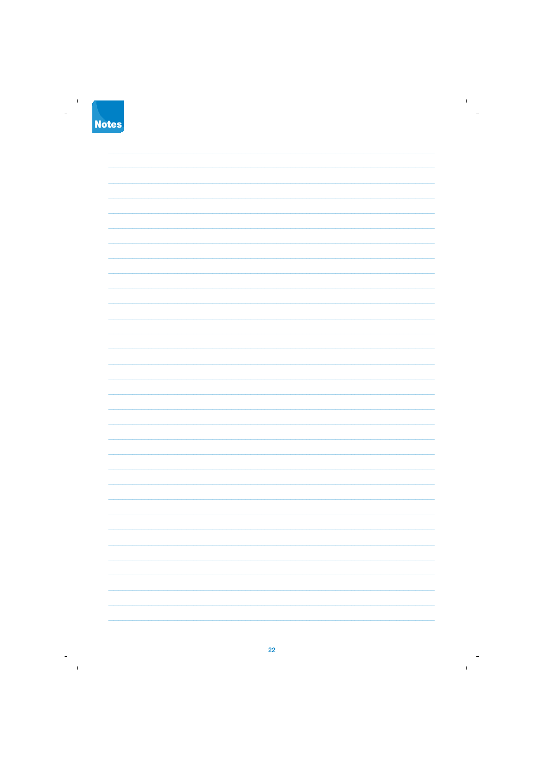| ۱<br>١ |
|--------|
|        |
|        |